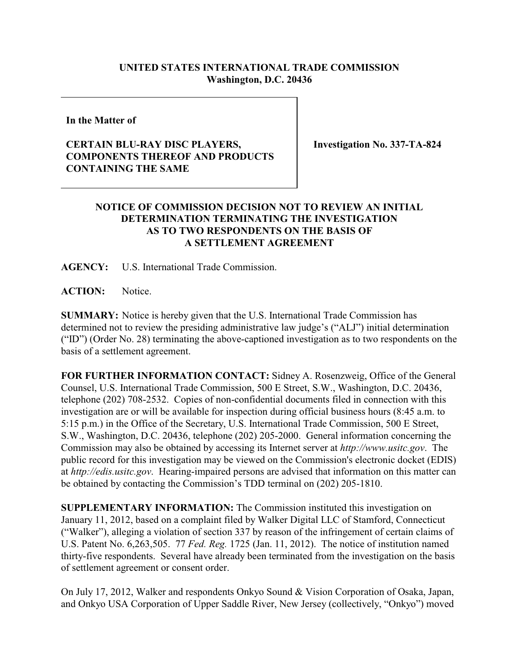## **UNITED STATES INTERNATIONAL TRADE COMMISSION Washington, D.C. 20436**

**In the Matter of**

## **CERTAIN BLU-RAY DISC PLAYERS, COMPONENTS THEREOF AND PRODUCTS CONTAINING THE SAME**

**Investigation No. 337-TA-824**

## **NOTICE OF COMMISSION DECISION NOT TO REVIEW AN INITIAL DETERMINATION TERMINATING THE INVESTIGATION AS TO TWO RESPONDENTS ON THE BASIS OF A SETTLEMENT AGREEMENT**

**AGENCY:** U.S. International Trade Commission.

**ACTION:** Notice.

**SUMMARY:** Notice is hereby given that the U.S. International Trade Commission has determined not to review the presiding administrative law judge's ("ALJ") initial determination ("ID") (Order No. 28) terminating the above-captioned investigation as to two respondents on the basis of a settlement agreement.

**FOR FURTHER INFORMATION CONTACT:** Sidney A. Rosenzweig, Office of the General Counsel, U.S. International Trade Commission, 500 E Street, S.W., Washington, D.C. 20436, telephone (202) 708-2532. Copies of non-confidential documents filed in connection with this investigation are or will be available for inspection during official business hours (8:45 a.m. to 5:15 p.m.) in the Office of the Secretary, U.S. International Trade Commission, 500 E Street, S.W., Washington, D.C. 20436, telephone (202) 205-2000. General information concerning the Commission may also be obtained by accessing its Internet server at *http://www.usitc.gov*. The public record for this investigation may be viewed on the Commission's electronic docket (EDIS) at *http://edis.usitc.gov*. Hearing-impaired persons are advised that information on this matter can be obtained by contacting the Commission's TDD terminal on (202) 205-1810.

**SUPPLEMENTARY INFORMATION:** The Commission instituted this investigation on January 11, 2012, based on a complaint filed by Walker Digital LLC of Stamford, Connecticut ("Walker"), alleging a violation of section 337 by reason of the infringement of certain claims of U.S. Patent No. 6,263,505. 77 *Fed. Reg.* 1725 (Jan. 11, 2012). The notice of institution named thirty-five respondents. Several have already been terminated from the investigation on the basis of settlement agreement or consent order.

On July 17, 2012, Walker and respondents Onkyo Sound & Vision Corporation of Osaka, Japan, and Onkyo USA Corporation of Upper Saddle River, New Jersey (collectively, "Onkyo") moved